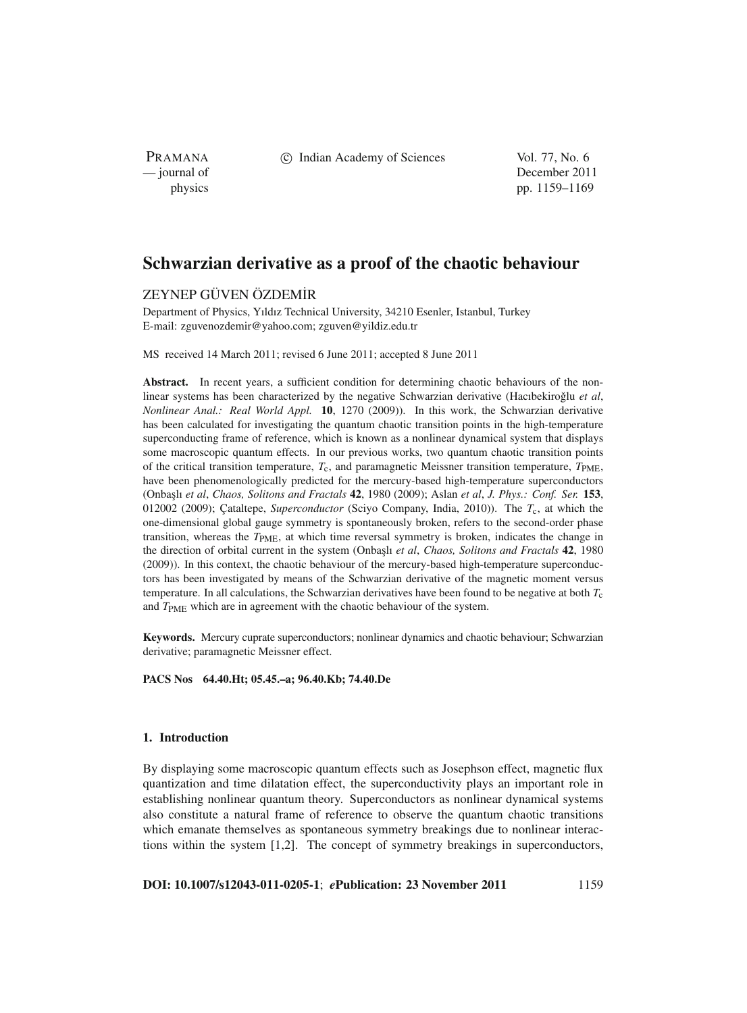PRAMANA

c Indian Academy of Sciences Vol. 77, No. 6

— journal of December 2011 physics pp. 1159–1169

# **Schwarzian derivative as a proof of the chaotic behaviour**

# ZEYNEP GÜVEN ÖZDEM˙IR

Department of Physics, Yıldız Technical University, 34210 Esenler, Istanbul, Turkey E-mail: zguvenozdemir@yahoo.com; zguven@yildiz.edu.tr

MS received 14 March 2011; revised 6 June 2011; accepted 8 June 2011

**Abstract.** In recent years, a sufficient condition for determining chaotic behaviours of the nonlinear systems has been characterized by the negative Schwarzian derivative (Hacıbekiroğlu et al, *Nonlinear Anal.: Real World Appl.* **10**, 1270 (2009)). In this work, the Schwarzian derivative has been calculated for investigating the quantum chaotic transition points in the high-temperature superconducting frame of reference, which is known as a nonlinear dynamical system that displays some macroscopic quantum effects. In our previous works, two quantum chaotic transition points of the critical transition temperature,  $T_c$ , and paramagnetic Meissner transition temperature,  $T_{\text{PME}}$ , have been phenomenologically predicted for the mercury-based high-temperature superconductors (Onba¸slı *et al*, *Chaos, Solitons and Fractals* **42**, 1980 (2009); Aslan *et al*, *J. Phys.: Conf. Ser.* **153**, 012002 (2009); Çataltepe, *Superconductor* (Sciyo Company, India, 2010)). The *T*c, at which the one-dimensional global gauge symmetry is spontaneously broken, refers to the second-order phase transition, whereas the *T*PME, at which time reversal symmetry is broken, indicates the change in the direction of orbital current in the system (Onbaşlı *et al, Chaos, Solitons and Fractals* **42**, 1980 (2009)). In this context, the chaotic behaviour of the mercury-based high-temperature superconductors has been investigated by means of the Schwarzian derivative of the magnetic moment versus temperature. In all calculations, the Schwarzian derivatives have been found to be negative at both *T*c and *T*<sub>PME</sub> which are in agreement with the chaotic behaviour of the system.

**Keywords.** Mercury cuprate superconductors; nonlinear dynamics and chaotic behaviour; Schwarzian derivative; paramagnetic Meissner effect.

**PACS Nos 64.40.Ht; 05.45.–a; 96.40.Kb; 74.40.De**

# **1. Introduction**

By displaying some macroscopic quantum effects such as Josephson effect, magnetic flux quantization and time dilatation effect, the superconductivity plays an important role in establishing nonlinear quantum theory. Superconductors as nonlinear dynamical systems also constitute a natural frame of reference to observe the quantum chaotic transitions which emanate themselves as spontaneous symmetry breakings due to nonlinear interactions within the system [1,2]. The concept of symmetry breakings in superconductors,

**DOI: 10.1007/s12043-011-0205-1**; *e***Publication: 23 November 2011** 1159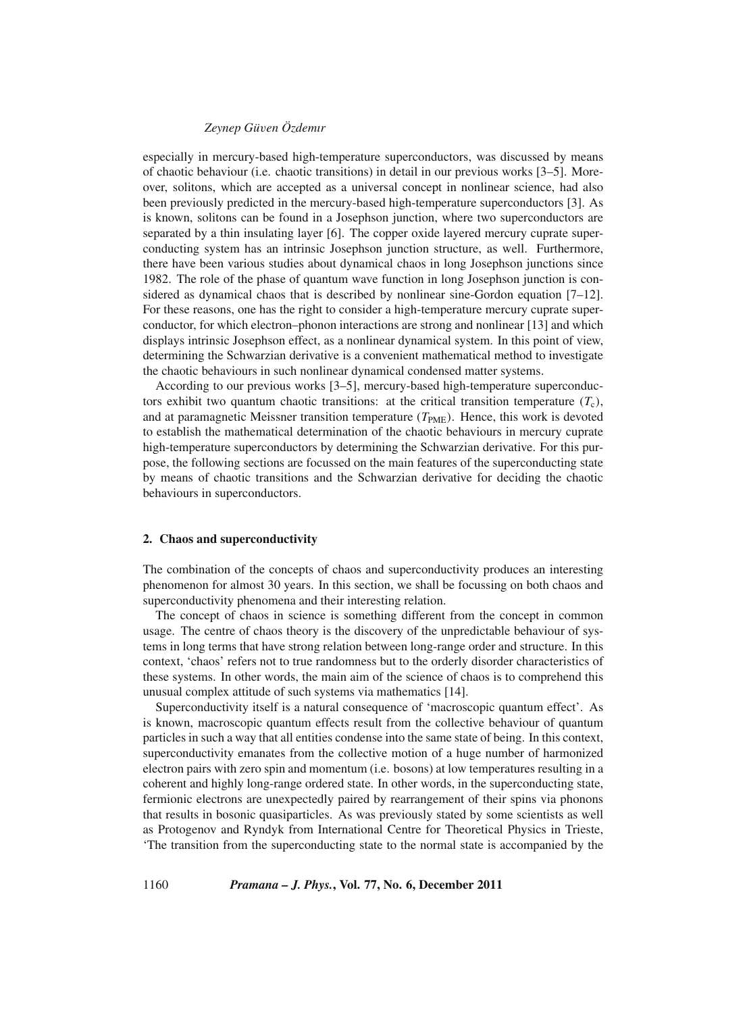especially in mercury-based high-temperature superconductors, was discussed by means of chaotic behaviour (i.e. chaotic transitions) in detail in our previous works [3–5]. Moreover, solitons, which are accepted as a universal concept in nonlinear science, had also been previously predicted in the mercury-based high-temperature superconductors [3]. As is known, solitons can be found in a Josephson junction, where two superconductors are separated by a thin insulating layer [6]. The copper oxide layered mercury cuprate superconducting system has an intrinsic Josephson junction structure, as well. Furthermore, there have been various studies about dynamical chaos in long Josephson junctions since 1982. The role of the phase of quantum wave function in long Josephson junction is considered as dynamical chaos that is described by nonlinear sine-Gordon equation [7–12]. For these reasons, one has the right to consider a high-temperature mercury cuprate superconductor, for which electron–phonon interactions are strong and nonlinear [13] and which displays intrinsic Josephson effect, as a nonlinear dynamical system. In this point of view, determining the Schwarzian derivative is a convenient mathematical method to investigate the chaotic behaviours in such nonlinear dynamical condensed matter systems.

According to our previous works [3–5], mercury-based high-temperature superconductors exhibit two quantum chaotic transitions: at the critical transition temperature  $(T_c)$ , and at paramagnetic Meissner transition temperature  $(T_{PME})$ . Hence, this work is devoted to establish the mathematical determination of the chaotic behaviours in mercury cuprate high-temperature superconductors by determining the Schwarzian derivative. For this purpose, the following sections are focussed on the main features of the superconducting state by means of chaotic transitions and the Schwarzian derivative for deciding the chaotic behaviours in superconductors.

#### **2. Chaos and superconductivity**

The combination of the concepts of chaos and superconductivity produces an interesting phenomenon for almost 30 years. In this section, we shall be focussing on both chaos and superconductivity phenomena and their interesting relation.

The concept of chaos in science is something different from the concept in common usage. The centre of chaos theory is the discovery of the unpredictable behaviour of systems in long terms that have strong relation between long-range order and structure. In this context, 'chaos' refers not to true randomness but to the orderly disorder characteristics of these systems. In other words, the main aim of the science of chaos is to comprehend this unusual complex attitude of such systems via mathematics [14].

Superconductivity itself is a natural consequence of 'macroscopic quantum effect'. As is known, macroscopic quantum effects result from the collective behaviour of quantum particles in such a way that all entities condense into the same state of being. In this context, superconductivity emanates from the collective motion of a huge number of harmonized electron pairs with zero spin and momentum (i.e. bosons) at low temperatures resulting in a coherent and highly long-range ordered state. In other words, in the superconducting state, fermionic electrons are unexpectedly paired by rearrangement of their spins via phonons that results in bosonic quasiparticles. As was previously stated by some scientists as well as Protogenov and Ryndyk from International Centre for Theoretical Physics in Trieste, 'The transition from the superconducting state to the normal state is accompanied by the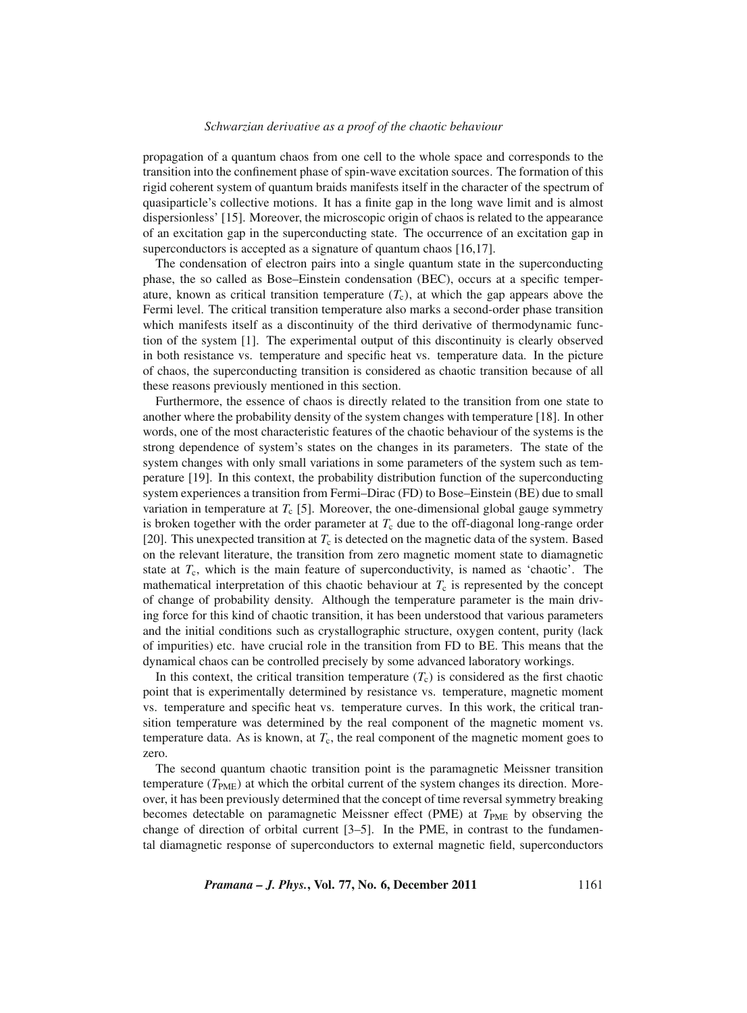#### *Schwarzian deri*v*ati*v*e as a proof of the chaotic beha*v*iour*

propagation of a quantum chaos from one cell to the whole space and corresponds to the transition into the confinement phase of spin-wave excitation sources. The formation of this rigid coherent system of quantum braids manifests itself in the character of the spectrum of quasiparticle's collective motions. It has a finite gap in the long wave limit and is almost dispersionless' [15]. Moreover, the microscopic origin of chaos is related to the appearance of an excitation gap in the superconducting state. The occurrence of an excitation gap in superconductors is accepted as a signature of quantum chaos [16,17].

The condensation of electron pairs into a single quantum state in the superconducting phase, the so called as Bose–Einstein condensation (BEC), occurs at a specific temperature, known as critical transition temperature  $(T_c)$ , at which the gap appears above the Fermi level. The critical transition temperature also marks a second-order phase transition which manifests itself as a discontinuity of the third derivative of thermodynamic function of the system [1]. The experimental output of this discontinuity is clearly observed in both resistance vs. temperature and specific heat vs. temperature data. In the picture of chaos, the superconducting transition is considered as chaotic transition because of all these reasons previously mentioned in this section.

Furthermore, the essence of chaos is directly related to the transition from one state to another where the probability density of the system changes with temperature [18]. In other words, one of the most characteristic features of the chaotic behaviour of the systems is the strong dependence of system's states on the changes in its parameters. The state of the system changes with only small variations in some parameters of the system such as temperature [19]. In this context, the probability distribution function of the superconducting system experiences a transition from Fermi–Dirac (FD) to Bose–Einstein (BE) due to small variation in temperature at  $T_c$  [5]. Moreover, the one-dimensional global gauge symmetry is broken together with the order parameter at  $T_c$  due to the off-diagonal long-range order [20]. This unexpected transition at  $T_c$  is detected on the magnetic data of the system. Based on the relevant literature, the transition from zero magnetic moment state to diamagnetic state at *T*c, which is the main feature of superconductivity, is named as 'chaotic'. The mathematical interpretation of this chaotic behaviour at  $T_c$  is represented by the concept of change of probability density. Although the temperature parameter is the main driving force for this kind of chaotic transition, it has been understood that various parameters and the initial conditions such as crystallographic structure, oxygen content, purity (lack of impurities) etc. have crucial role in the transition from FD to BE. This means that the dynamical chaos can be controlled precisely by some advanced laboratory workings.

In this context, the critical transition temperature  $(T_c)$  is considered as the first chaotic point that is experimentally determined by resistance vs. temperature, magnetic moment vs. temperature and specific heat vs. temperature curves. In this work, the critical transition temperature was determined by the real component of the magnetic moment vs. temperature data. As is known, at  $T_c$ , the real component of the magnetic moment goes to zero.

The second quantum chaotic transition point is the paramagnetic Meissner transition temperature  $(T_{PME})$  at which the orbital current of the system changes its direction. Moreover, it has been previously determined that the concept of time reversal symmetry breaking becomes detectable on paramagnetic Meissner effect (PME) at *T*<sub>PME</sub> by observing the change of direction of orbital current [3–5]. In the PME, in contrast to the fundamental diamagnetic response of superconductors to external magnetic field, superconductors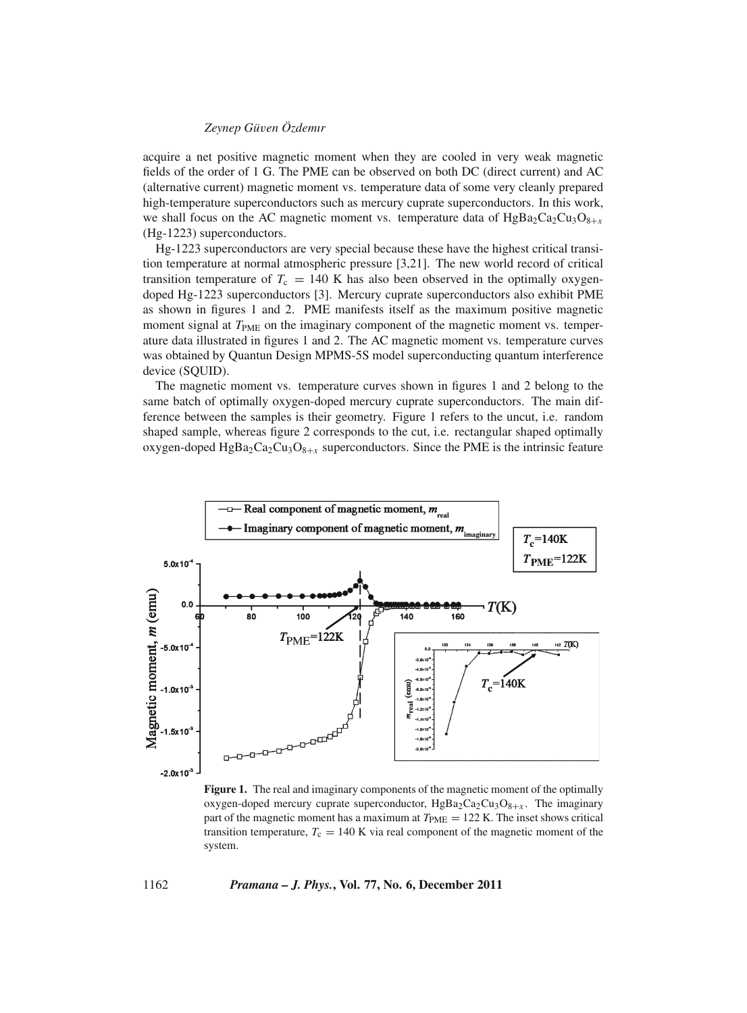acquire a net positive magnetic moment when they are cooled in very weak magnetic fields of the order of 1 G. The PME can be observed on both DC (direct current) and AC (alternative current) magnetic moment vs. temperature data of some very cleanly prepared high-temperature superconductors such as mercury cuprate superconductors. In this work, we shall focus on the AC magnetic moment vs. temperature data of  $HgBa_2Ca_2Cu_3O_{8+x}$ (Hg-1223) superconductors.

Hg-1223 superconductors are very special because these have the highest critical transition temperature at normal atmospheric pressure [3,21]. The new world record of critical transition temperature of  $T_c = 140$  K has also been observed in the optimally oxygendoped Hg-1223 superconductors [3]. Mercury cuprate superconductors also exhibit PME as shown in figures 1 and 2. PME manifests itself as the maximum positive magnetic moment signal at  $T_{\text{PME}}$  on the imaginary component of the magnetic moment vs. temperature data illustrated in figures 1 and 2. The AC magnetic moment vs. temperature curves was obtained by Quantun Design MPMS-5S model superconducting quantum interference device (SQUID).

The magnetic moment vs. temperature curves shown in figures 1 and 2 belong to the same batch of optimally oxygen-doped mercury cuprate superconductors. The main difference between the samples is their geometry. Figure 1 refers to the uncut, i.e. random shaped sample, whereas figure 2 corresponds to the cut, i.e. rectangular shaped optimally oxygen-doped HgBa<sub>2</sub>Ca<sub>2</sub>Cu<sub>3</sub>O<sub>8+*x*</sub> superconductors. Since the PME is the intrinsic feature



**Figure 1.** The real and imaginary components of the magnetic moment of the optimally oxygen-doped mercury cuprate superconductor,  $HgBa_2Ca_2Cu_3O_{8+x}$ . The imaginary part of the magnetic moment has a maximum at  $T_{\text{PME}} = 122$  K. The inset shows critical transition temperature,  $T_c = 140$  K via real component of the magnetic moment of the system.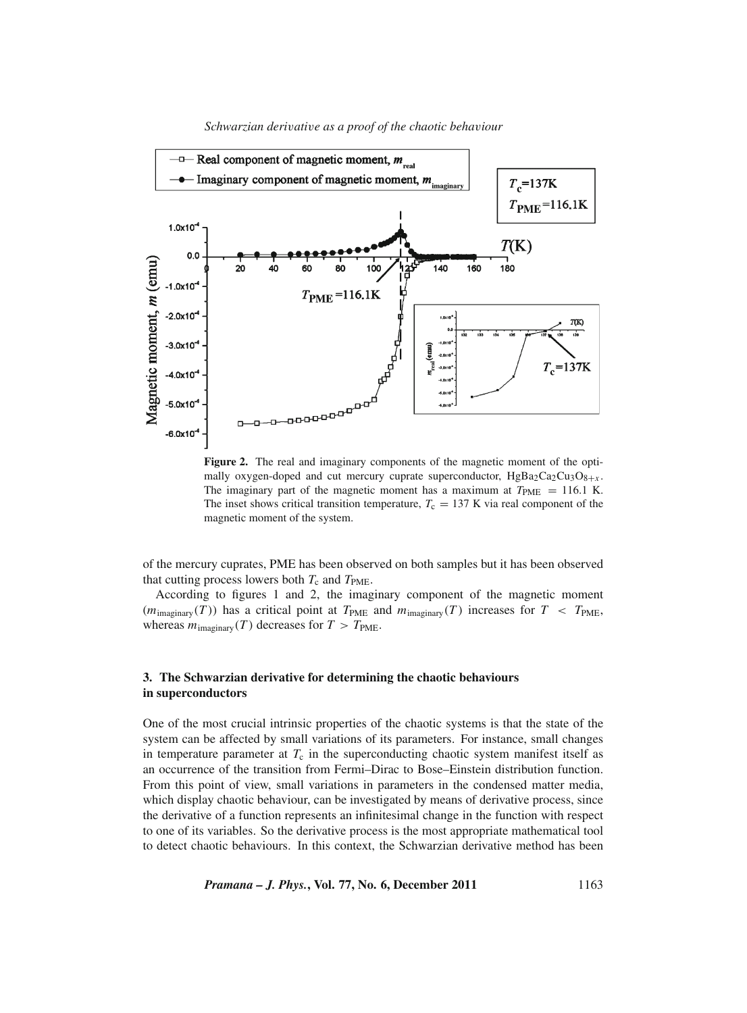

**Figure 2.** The real and imaginary components of the magnetic moment of the optimally oxygen-doped and cut mercury cuprate superconductor,  $HgBa_2Ca_2Cu_3O_{8+x}$ . The imaginary part of the magnetic moment has a maximum at  $T_{\text{PME}} = 116.1 \text{ K}$ . The inset shows critical transition temperature,  $T_c = 137$  K via real component of the magnetic moment of the system.

of the mercury cuprates, PME has been observed on both samples but it has been observed that cutting process lowers both  $T_c$  and  $T_{\text{PME}}$ .

According to figures 1 and 2, the imaginary component of the magnetic moment  $(m_{\text{imaginary}}(T))$  has a critical point at  $T_{\text{PME}}$  and  $m_{\text{imaginary}}(T)$  increases for  $T < T_{\text{PME}}$ , whereas  $m_{\text{imaginary}}(T)$  decreases for  $T > T_{\text{PME}}$ .

## **3. The Schwarzian derivative for determining the chaotic behaviours in superconductors**

One of the most crucial intrinsic properties of the chaotic systems is that the state of the system can be affected by small variations of its parameters. For instance, small changes in temperature parameter at  $T_c$  in the superconducting chaotic system manifest itself as an occurrence of the transition from Fermi–Dirac to Bose–Einstein distribution function. From this point of view, small variations in parameters in the condensed matter media, which display chaotic behaviour, can be investigated by means of derivative process, since the derivative of a function represents an infinitesimal change in the function with respect to one of its variables. So the derivative process is the most appropriate mathematical tool to detect chaotic behaviours. In this context, the Schwarzian derivative method has been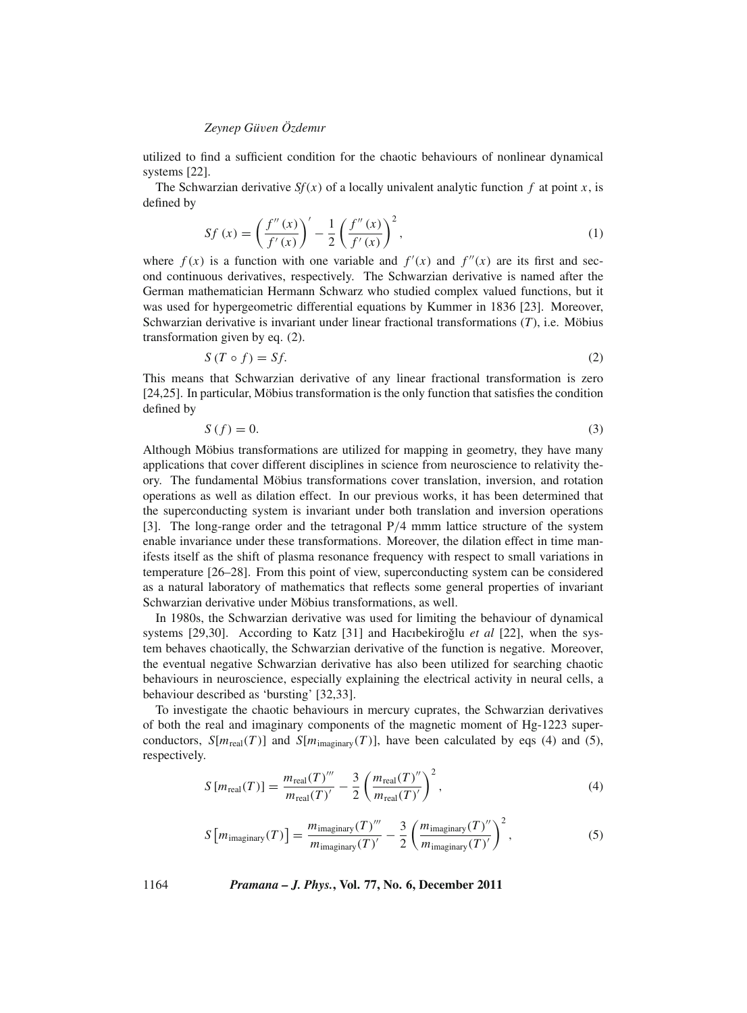utilized to find a sufficient condition for the chaotic behaviours of nonlinear dynamical systems [22].

The Schwarzian derivative  $Sf(x)$  of a locally univalent analytic function  $f$  at point  $x$ , is defined by

$$
Sf(x) = \left(\frac{f''(x)}{f'(x)}\right)' - \frac{1}{2} \left(\frac{f''(x)}{f'(x)}\right)^2,
$$
\n(1)

where  $f(x)$  is a function with one variable and  $f'(x)$  and  $f''(x)$  are its first and second continuous derivatives, respectively. The Schwarzian derivative is named after the German mathematician Hermann Schwarz who studied complex valued functions, but it was used for hypergeometric differential equations by Kummer in 1836 [23]. Moreover, Schwarzian derivative is invariant under linear fractional transformations (*T*), i.e. Möbius transformation given by eq. (2).

$$
S(T \circ f) = Sf. \tag{2}
$$

This means that Schwarzian derivative of any linear fractional transformation is zero [24,25]. In particular, Möbius transformation is the only function that satisfies the condition defined by

$$
S(f) = 0.\t\t(3)
$$

Although Möbius transformations are utilized for mapping in geometry, they have many applications that cover different disciplines in science from neuroscience to relativity theory. The fundamental Möbius transformations cover translation, inversion, and rotation operations as well as dilation effect. In our previous works, it has been determined that the superconducting system is invariant under both translation and inversion operations [3]. The long-range order and the tetragonal P/4 mmm lattice structure of the system enable invariance under these transformations. Moreover, the dilation effect in time manifests itself as the shift of plasma resonance frequency with respect to small variations in temperature [26–28]. From this point of view, superconducting system can be considered as a natural laboratory of mathematics that reflects some general properties of invariant Schwarzian derivative under Möbius transformations, as well.

In 1980s, the Schwarzian derivative was used for limiting the behaviour of dynamical systems [29,30]. According to Katz [31] and Hacıbekiroğlu *et al* [22], when the system behaves chaotically, the Schwarzian derivative of the function is negative. Moreover, the eventual negative Schwarzian derivative has also been utilized for searching chaotic behaviours in neuroscience, especially explaining the electrical activity in neural cells, a behaviour described as 'bursting' [32,33].

To investigate the chaotic behaviours in mercury cuprates, the Schwarzian derivatives of both the real and imaginary components of the magnetic moment of Hg-1223 superconductors,  $S[m_{\text{real}}(T)]$  and  $S[m_{\text{imaginary}}(T)]$ , have been calculated by eqs (4) and (5), respectively.

$$
S\left[m_{\text{real}}(T)\right] = \frac{m_{\text{real}}(T)'''}{m_{\text{real}}(T)'} - \frac{3}{2} \left(\frac{m_{\text{real}}(T)''}{m_{\text{real}}(T)}\right)^2,\tag{4}
$$

$$
S\left[m_{\text{imaginary}}(T)\right] = \frac{m_{\text{imaginary}}(T)'''}{m_{\text{imaginary}}(T)'} - \frac{3}{2} \left(\frac{m_{\text{imaginary}}(T)''}{m_{\text{imaginary}}(T)'}\right)^2,\tag{5}
$$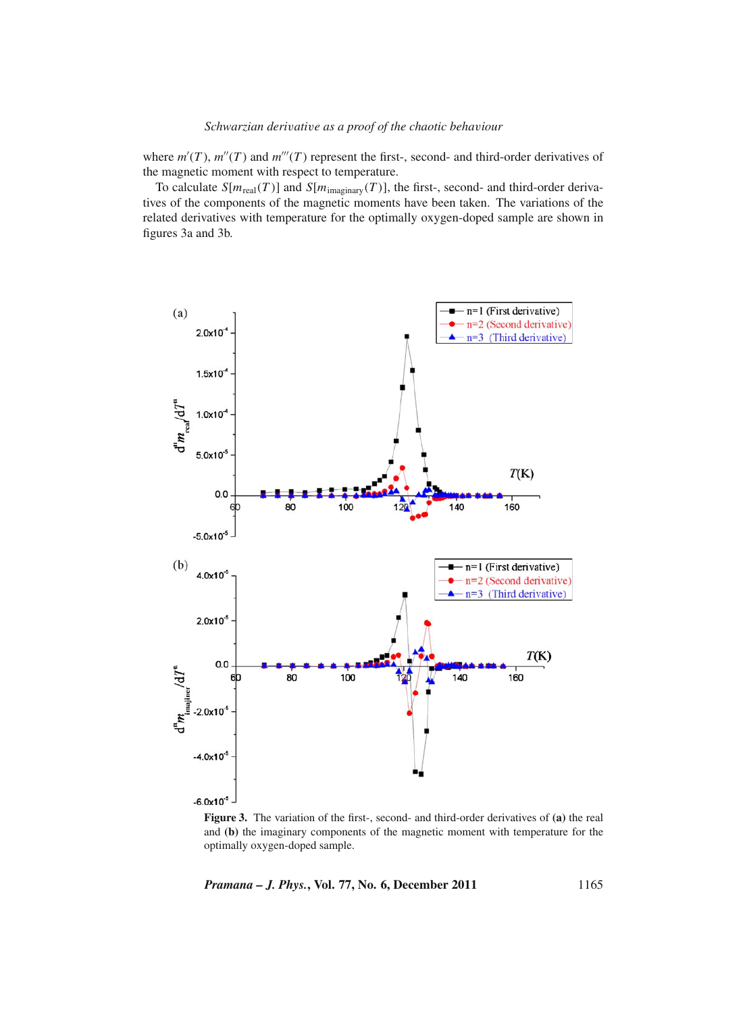where  $m'(T)$ ,  $m''(T)$  and  $m'''(T)$  represent the first-, second- and third-order derivatives of the magnetic moment with respect to temperature.

To calculate  $S[m_{\text{real}}(T)]$  and  $S[m_{\text{imaginary}}(T)]$ , the first-, second- and third-order derivatives of the components of the magnetic moments have been taken. The variations of the related derivatives with temperature for the optimally oxygen-doped sample are shown in figures 3a and 3b.



**Figure 3.** The variation of the first-, second- and third-order derivatives of **(a)** the real and **(b)** the imaginary components of the magnetic moment with temperature for the optimally oxygen-doped sample.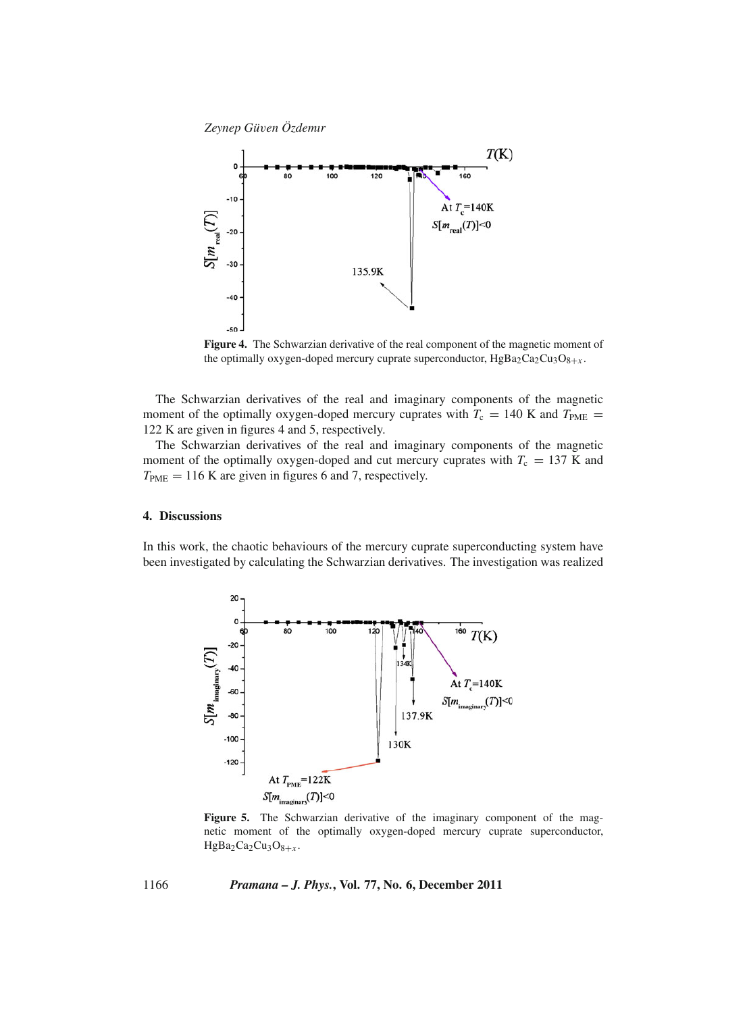

**Figure 4.** The Schwarzian derivative of the real component of the magnetic moment of the optimally oxygen-doped mercury cuprate superconductor,  $HgBa_2Ca_2Cu_3O_{8+x}$ .

The Schwarzian derivatives of the real and imaginary components of the magnetic moment of the optimally oxygen-doped mercury cuprates with  $T_c = 140$  K and  $T_{PME} =$ 122 K are given in figures 4 and 5, respectively.

The Schwarzian derivatives of the real and imaginary components of the magnetic moment of the optimally oxygen-doped and cut mercury cuprates with  $T_c = 137$  K and  $T_{\text{PME}} = 116$  K are given in figures 6 and 7, respectively.

#### **4. Discussions**

In this work, the chaotic behaviours of the mercury cuprate superconducting system have been investigated by calculating the Schwarzian derivatives. The investigation was realized



Figure 5. The Schwarzian derivative of the imaginary component of the magnetic moment of the optimally oxygen-doped mercury cuprate superconductor,  $HgBa<sub>2</sub>Ca<sub>2</sub>Cu<sub>3</sub>O<sub>8+x</sub>$ .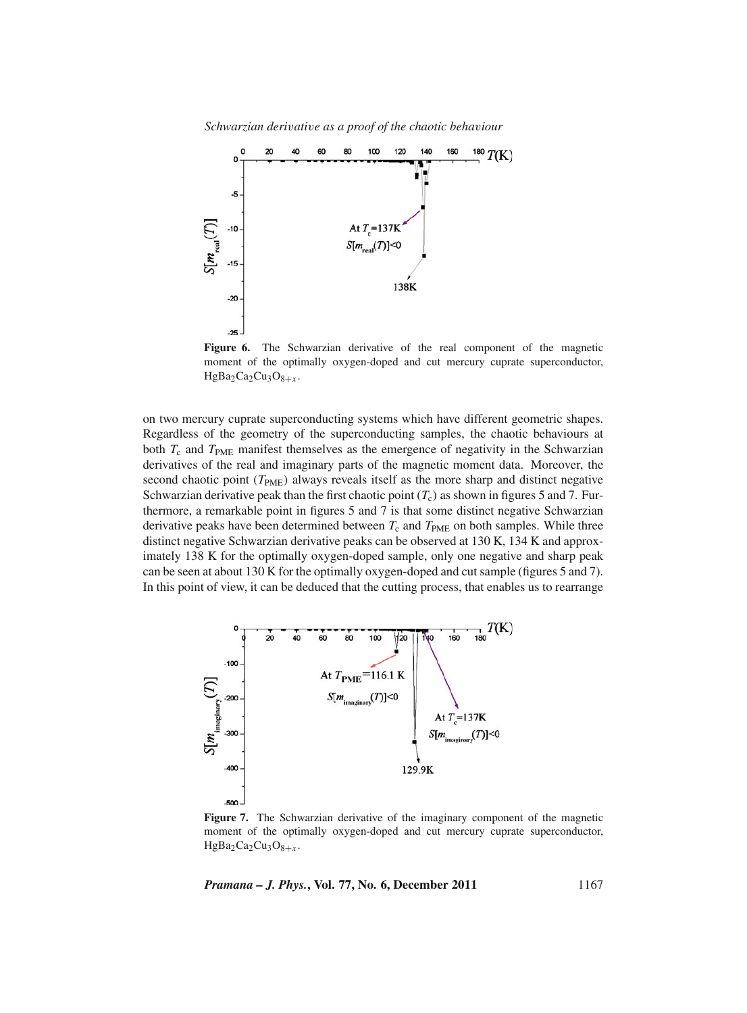*Schwarzian deri*v*ati*v*e as a proof of the chaotic beha*v*iour*



**Figure 6.** The Schwarzian derivative of the real component of the magnetic moment of the optimally oxygen-doped and cut mercury cuprate superconductor,  $HgBa<sub>2</sub>Ca<sub>2</sub>Cu<sub>3</sub>O<sub>8+x</sub>$ .

on two mercury cuprate superconducting systems which have different geometric shapes. Regardless of the geometry of the superconducting samples, the chaotic behaviours at both  $T_c$  and  $T_{PME}$  manifest themselves as the emergence of negativity in the Schwarzian derivatives of the real and imaginary parts of the magnetic moment data. Moreover, the second chaotic point (*T*<sub>PME</sub>) always reveals itself as the more sharp and distinct negative Schwarzian derivative peak than the first chaotic point  $(T_c)$  as shown in figures 5 and 7. Furthermore, a remarkable point in figures 5 and 7 is that some distinct negative Schwarzian derivative peaks have been determined between  $T_c$  and  $T_{PME}$  on both samples. While three distinct negative Schwarzian derivative peaks can be observed at 130 K, 134 K and approximately 138 K for the optimally oxygen-doped sample, only one negative and sharp peak can be seen at about 130 K for the optimally oxygen-doped and cut sample (figures 5 and 7). In this point of view, it can be deduced that the cutting process, that enables us to rearrange



**Figure 7.** The Schwarzian derivative of the imaginary component of the magnetic moment of the optimally oxygen-doped and cut mercury cuprate superconductor,  $HgBa_2Ca_2Cu_3O_{8+x}$ .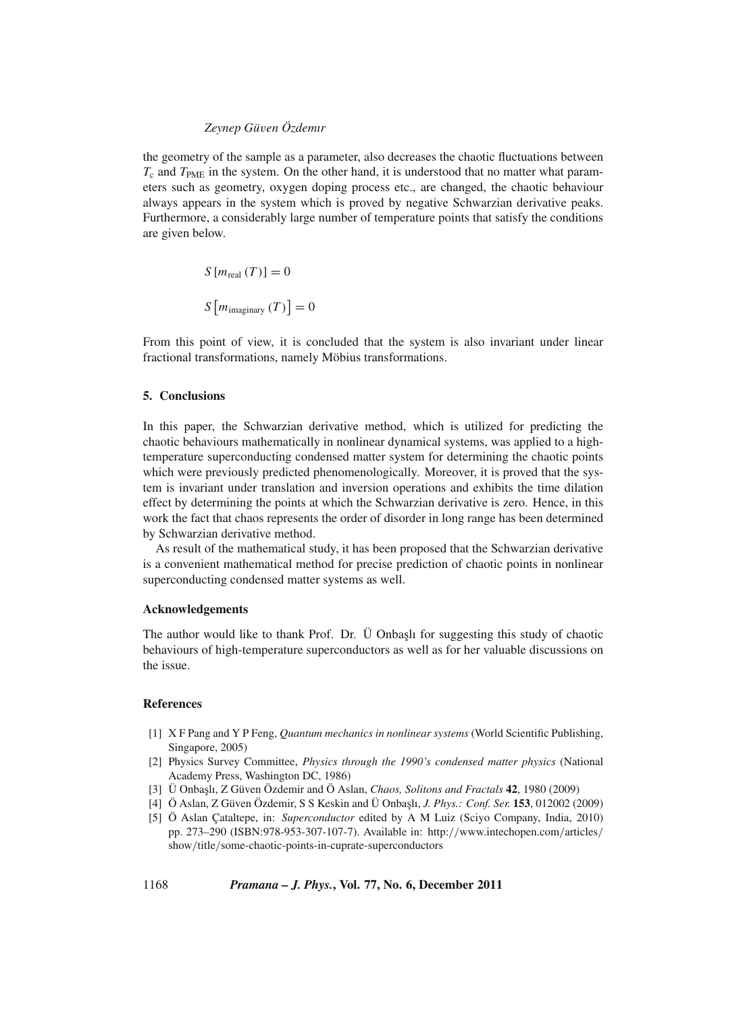the geometry of the sample as a parameter, also decreases the chaotic fluctuations between  $T_c$  and  $T_{PME}$  in the system. On the other hand, it is understood that no matter what parameters such as geometry, oxygen doping process etc., are changed, the chaotic behaviour always appears in the system which is proved by negative Schwarzian derivative peaks. Furthermore, a considerably large number of temperature points that satisfy the conditions are given below.

$$
S[m_{\text{real}}(T)] = 0
$$

$$
S[m_{\text{imaginary}}(T)] = 0
$$

From this point of view, it is concluded that the system is also invariant under linear fractional transformations, namely Möbius transformations.

#### **5. Conclusions**

In this paper, the Schwarzian derivative method, which is utilized for predicting the chaotic behaviours mathematically in nonlinear dynamical systems, was applied to a hightemperature superconducting condensed matter system for determining the chaotic points which were previously predicted phenomenologically. Moreover, it is proved that the system is invariant under translation and inversion operations and exhibits the time dilation effect by determining the points at which the Schwarzian derivative is zero. Hence, in this work the fact that chaos represents the order of disorder in long range has been determined by Schwarzian derivative method.

As result of the mathematical study, it has been proposed that the Schwarzian derivative is a convenient mathematical method for precise prediction of chaotic points in nonlinear superconducting condensed matter systems as well.

#### **Acknowledgements**

The author would like to thank Prof. Dr. U Onbash for suggesting this study of chaotic behaviours of high-temperature superconductors as well as for her valuable discussions on the issue.

#### **References**

- [1] X F Pang and Y P Feng, *Quantum mechanics in nonlinear systems* (World Scientific Publishing, Singapore, 2005)
- [2] Physics Survey Committee, *Physics through the 1990's condensed matter physics* (National Academy Press, Washington DC, 1986)
- [3] Ü Onba¸slı, Z Güven Özdemir and Ö Aslan, *Chaos, Solitons and Fractals* **42**, 1980 (2009)
- [4] Ö Aslan, Z Güven Özdemir, S S Keskin and Ü Onba¸slı, *J. Phys.: Conf. Ser.* **153**, 012002 (2009)
- [5] Ö Aslan Çataltepe, in: *Superconductor* edited by A M Luiz (Sciyo Company, India, 2010) pp. 273–290 (ISBN:978-953-307-107-7). Available in: http://www.intechopen.com/articles/ show/title/some-chaotic-points-in-cuprate-superconductors